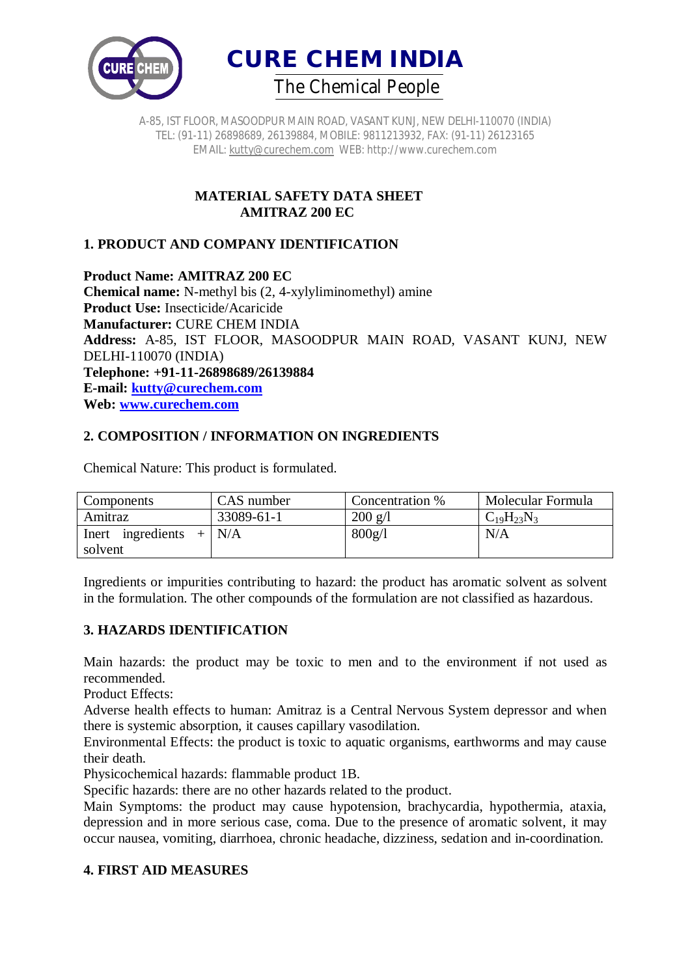



> **MATERIAL SAFETY DATA SHEET AMITRAZ 200 EC**

## **1. PRODUCT AND COMPANY IDENTIFICATION**

**Product Name: AMITRAZ 200 EC Chemical name:** N-methyl bis (2, 4-xylyliminomethyl) amine **Product Use:** Insecticide/Acaricide **Manufacturer:** CURE CHEM INDIA **Address:** A-85, IST FLOOR, MASOODPUR MAIN ROAD, VASANT KUNJ, NEW DELHI-110070 (INDIA) **Telephone: +91-11-26898689/26139884 E-mail: kutty@curechem.com Web: www.curechem.com**

## **2. COMPOSITION / INFORMATION ON INGREDIENTS**

| Components        | CAS number | Concentration %   | Molecular Formula |
|-------------------|------------|-------------------|-------------------|
| Amitraz           | 33089-61-1 | $200 \text{ g/l}$ | $C_{19}H_{23}N_3$ |
| Inert ingredients | $+$   N/A  | 800g/l            | N/A               |
| solvent           |            |                   |                   |

Chemical Nature: This product is formulated.

Ingredients or impurities contributing to hazard: the product has aromatic solvent as solvent in the formulation. The other compounds of the formulation are not classified as hazardous.

#### **3. HAZARDS IDENTIFICATION**

Main hazards: the product may be toxic to men and to the environment if not used as recommended.

Product Effects:

Adverse health effects to human: Amitraz is a Central Nervous System depressor and when there is systemic absorption, it causes capillary vasodilation.

Environmental Effects: the product is toxic to aquatic organisms, earthworms and may cause their death.

Physicochemical hazards: flammable product 1B.

Specific hazards: there are no other hazards related to the product.

Main Symptoms: the product may cause hypotension, brachycardia, hypothermia, ataxia, depression and in more serious case, coma. Due to the presence of aromatic solvent, it may occur nausea, vomiting, diarrhoea, chronic headache, dizziness, sedation and in-coordination.

## **4. FIRST AID MEASURES**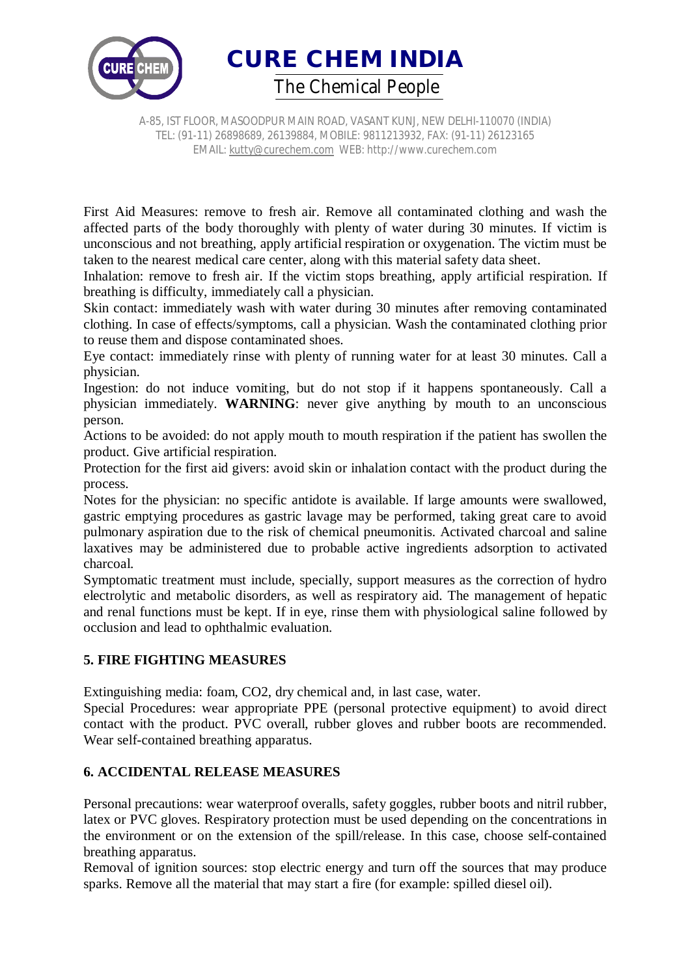

**CURE CHEM INDIA**  *The Chemical People*

A-85, IST FLOOR, MASOODPUR MAIN ROAD, VASANT KUNJ, NEW DELHI-110070 (INDIA) TEL: (91-11) 26898689, 26139884, MOBILE: 9811213932, FAX: (91-11) 26123165 EMAIL: kutty@curechem.com WEB: http://www.curechem.com

First Aid Measures: remove to fresh air. Remove all contaminated clothing and wash the affected parts of the body thoroughly with plenty of water during 30 minutes. If victim is unconscious and not breathing, apply artificial respiration or oxygenation. The victim must be taken to the nearest medical care center, along with this material safety data sheet.

Inhalation: remove to fresh air. If the victim stops breathing, apply artificial respiration. If breathing is difficulty, immediately call a physician.

Skin contact: immediately wash with water during 30 minutes after removing contaminated clothing. In case of effects/symptoms, call a physician. Wash the contaminated clothing prior to reuse them and dispose contaminated shoes.

Eye contact: immediately rinse with plenty of running water for at least 30 minutes. Call a physician.

Ingestion: do not induce vomiting, but do not stop if it happens spontaneously. Call a physician immediately. **WARNING**: never give anything by mouth to an unconscious person.

Actions to be avoided: do not apply mouth to mouth respiration if the patient has swollen the product. Give artificial respiration.

Protection for the first aid givers: avoid skin or inhalation contact with the product during the process.

Notes for the physician: no specific antidote is available. If large amounts were swallowed, gastric emptying procedures as gastric lavage may be performed, taking great care to avoid pulmonary aspiration due to the risk of chemical pneumonitis. Activated charcoal and saline laxatives may be administered due to probable active ingredients adsorption to activated charcoal.

Symptomatic treatment must include, specially, support measures as the correction of hydro electrolytic and metabolic disorders, as well as respiratory aid. The management of hepatic and renal functions must be kept. If in eye, rinse them with physiological saline followed by occlusion and lead to ophthalmic evaluation.

## **5. FIRE FIGHTING MEASURES**

Extinguishing media: foam, CO2, dry chemical and, in last case, water.

Special Procedures: wear appropriate PPE (personal protective equipment) to avoid direct contact with the product. PVC overall, rubber gloves and rubber boots are recommended. Wear self-contained breathing apparatus.

## **6. ACCIDENTAL RELEASE MEASURES**

Personal precautions: wear waterproof overalls, safety goggles, rubber boots and nitril rubber, latex or PVC gloves. Respiratory protection must be used depending on the concentrations in the environment or on the extension of the spill/release. In this case, choose self-contained breathing apparatus.

Removal of ignition sources: stop electric energy and turn off the sources that may produce sparks. Remove all the material that may start a fire (for example: spilled diesel oil).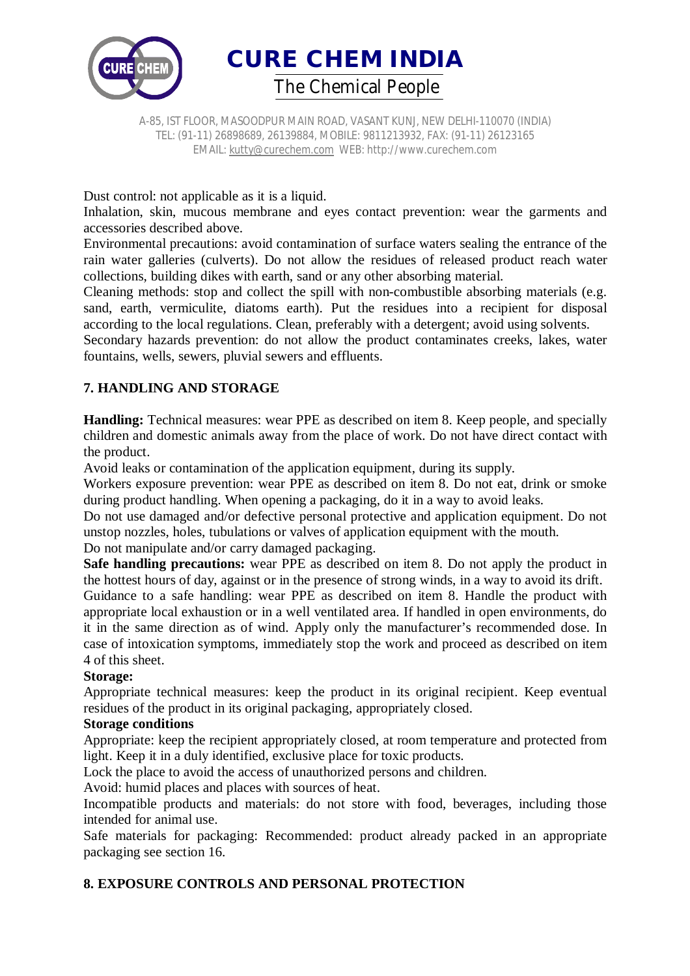

**CURE CHEM INDIA**  *The Chemical People*

A-85, IST FLOOR, MASOODPUR MAIN ROAD, VASANT KUNJ, NEW DELHI-110070 (INDIA) TEL: (91-11) 26898689, 26139884, MOBILE: 9811213932, FAX: (91-11) 26123165 EMAIL: kutty@curechem.com WEB: http://www.curechem.com

Dust control: not applicable as it is a liquid.

Inhalation, skin, mucous membrane and eyes contact prevention: wear the garments and accessories described above.

Environmental precautions: avoid contamination of surface waters sealing the entrance of the rain water galleries (culverts). Do not allow the residues of released product reach water collections, building dikes with earth, sand or any other absorbing material.

Cleaning methods: stop and collect the spill with non-combustible absorbing materials (e.g. sand, earth, vermiculite, diatoms earth). Put the residues into a recipient for disposal according to the local regulations. Clean, preferably with a detergent; avoid using solvents.

Secondary hazards prevention: do not allow the product contaminates creeks, lakes, water fountains, wells, sewers, pluvial sewers and effluents.

## **7. HANDLING AND STORAGE**

**Handling:** Technical measures: wear PPE as described on item 8. Keep people, and specially children and domestic animals away from the place of work. Do not have direct contact with the product.

Avoid leaks or contamination of the application equipment, during its supply.

Workers exposure prevention: wear PPE as described on item 8. Do not eat, drink or smoke during product handling. When opening a packaging, do it in a way to avoid leaks.

Do not use damaged and/or defective personal protective and application equipment. Do not unstop nozzles, holes, tubulations or valves of application equipment with the mouth.

Do not manipulate and/or carry damaged packaging.

**Safe handling precautions:** wear PPE as described on item 8. Do not apply the product in the hottest hours of day, against or in the presence of strong winds, in a way to avoid its drift.

Guidance to a safe handling: wear PPE as described on item 8. Handle the product with appropriate local exhaustion or in a well ventilated area. If handled in open environments, do it in the same direction as of wind. Apply only the manufacturer's recommended dose. In case of intoxication symptoms, immediately stop the work and proceed as described on item 4 of this sheet.

#### **Storage:**

Appropriate technical measures: keep the product in its original recipient. Keep eventual residues of the product in its original packaging, appropriately closed.

#### **Storage conditions**

Appropriate: keep the recipient appropriately closed, at room temperature and protected from light. Keep it in a duly identified, exclusive place for toxic products.

Lock the place to avoid the access of unauthorized persons and children.

Avoid: humid places and places with sources of heat.

Incompatible products and materials: do not store with food, beverages, including those intended for animal use.

Safe materials for packaging: Recommended: product already packed in an appropriate packaging see section 16.

# **8. EXPOSURE CONTROLS AND PERSONAL PROTECTION**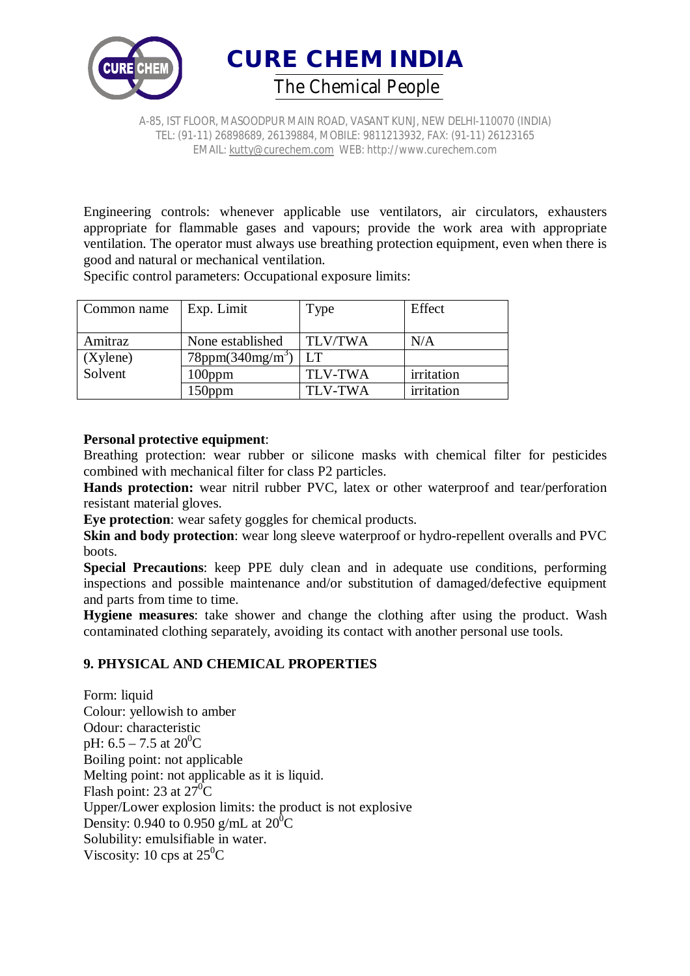



Engineering controls: whenever applicable use ventilators, air circulators, exhausters appropriate for flammable gases and vapours; provide the work area with appropriate ventilation. The operator must always use breathing protection equipment, even when there is good and natural or mechanical ventilation.

Specific control parameters: Occupational exposure limits:

| Common name | Exp. Limit                          | Type           | Effect     |
|-------------|-------------------------------------|----------------|------------|
|             |                                     |                |            |
| Amitraz     | None established                    | <b>TLV/TWA</b> | N/A        |
| (Xylene)    | $78$ ppm $(340$ mg/m <sup>3</sup> ) | LT             |            |
| Solvent     | 100ppm                              | <b>TLV-TWA</b> | irritation |
|             | 150ppm                              | <b>TLV-TWA</b> | irritation |

### **Personal protective equipment**:

Breathing protection: wear rubber or silicone masks with chemical filter for pesticides combined with mechanical filter for class P2 particles.

**Hands protection:** wear nitril rubber PVC, latex or other waterproof and tear/perforation resistant material gloves.

**Eye protection**: wear safety goggles for chemical products.

**Skin and body protection**: wear long sleeve waterproof or hydro-repellent overalls and PVC boots.

**Special Precautions**: keep PPE duly clean and in adequate use conditions, performing inspections and possible maintenance and/or substitution of damaged/defective equipment and parts from time to time.

**Hygiene measures**: take shower and change the clothing after using the product. Wash contaminated clothing separately, avoiding its contact with another personal use tools.

## **9. PHYSICAL AND CHEMICAL PROPERTIES**

Form: liquid Colour: yellowish to amber Odour: characteristic pH:  $6.5 - 7.5$  at  $20^0$ C Boiling point: not applicable Melting point: not applicable as it is liquid. Flash point: 23 at  $27^0C$ Upper/Lower explosion limits: the product is not explosive Density: 0.940 to 0.950 g/mL at  $20^0C$ Solubility: emulsifiable in water. Viscosity: 10 cps at  $25^{\circ}$ C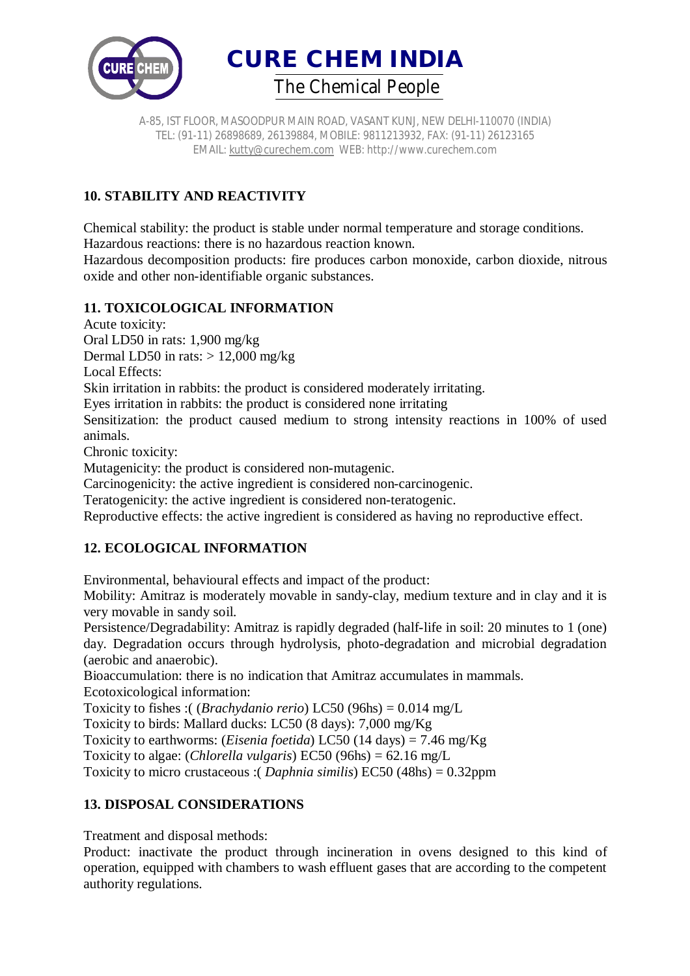



# **10. STABILITY AND REACTIVITY**

Chemical stability: the product is stable under normal temperature and storage conditions. Hazardous reactions: there is no hazardous reaction known.

Hazardous decomposition products: fire produces carbon monoxide, carbon dioxide, nitrous oxide and other non-identifiable organic substances.

## **11. TOXICOLOGICAL INFORMATION**

Acute toxicity:

Oral LD50 in rats: 1,900 mg/kg

Dermal LD50 in rats:  $> 12,000$  mg/kg

Local Effects:

Skin irritation in rabbits: the product is considered moderately irritating.

Eyes irritation in rabbits: the product is considered none irritating

Sensitization: the product caused medium to strong intensity reactions in 100% of used animals.

Chronic toxicity:

Mutagenicity: the product is considered non-mutagenic.

Carcinogenicity: the active ingredient is considered non-carcinogenic.

Teratogenicity: the active ingredient is considered non-teratogenic.

Reproductive effects: the active ingredient is considered as having no reproductive effect.

# **12. ECOLOGICAL INFORMATION**

Environmental, behavioural effects and impact of the product:

Mobility: Amitraz is moderately movable in sandy-clay, medium texture and in clay and it is very movable in sandy soil.

Persistence/Degradability: Amitraz is rapidly degraded (half-life in soil: 20 minutes to 1 (one) day. Degradation occurs through hydrolysis, photo-degradation and microbial degradation (aerobic and anaerobic).

Bioaccumulation: there is no indication that Amitraz accumulates in mammals. Ecotoxicological information:

Toxicity to fishes :( (*Brachydanio rerio*) LC50 (96hs) = 0.014 mg/L

Toxicity to birds: Mallard ducks: LC50 (8 days): 7,000 mg/Kg

Toxicity to earthworms: (*Eisenia foetida*) LC50 (14 days) = 7.46 mg/Kg

Toxicity to algae: (*Chlorella vulgaris*) EC50 (96hs) = 62.16 mg/L

Toxicity to micro crustaceous :( *Daphnia similis*) EC50 (48hs) = 0.32ppm

# **13. DISPOSAL CONSIDERATIONS**

Treatment and disposal methods:

Product: inactivate the product through incineration in ovens designed to this kind of operation, equipped with chambers to wash effluent gases that are according to the competent authority regulations.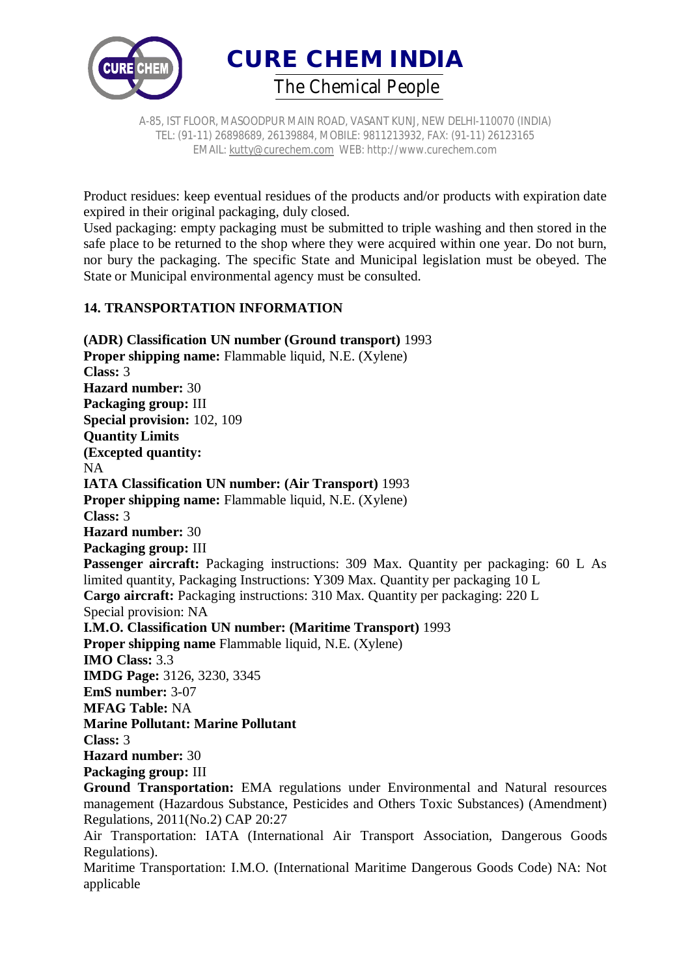



Product residues: keep eventual residues of the products and/or products with expiration date expired in their original packaging, duly closed.

Used packaging: empty packaging must be submitted to triple washing and then stored in the safe place to be returned to the shop where they were acquired within one year. Do not burn, nor bury the packaging. The specific State and Municipal legislation must be obeyed. The State or Municipal environmental agency must be consulted.

### **14. TRANSPORTATION INFORMATION**

**(ADR) Classification UN number (Ground transport)** 1993 **Proper shipping name:** Flammable liquid, N.E. (Xylene) **Class:** 3 **Hazard number:** 30 **Packaging group:** III **Special provision:** 102, 109 **Quantity Limits (Excepted quantity:** NA **IATA Classification UN number: (Air Transport)** 1993 **Proper shipping name:** Flammable liquid, N.E. (Xylene) **Class:** 3 **Hazard number:** 30 **Packaging group:** III Passenger aircraft: Packaging instructions: 309 Max. Quantity per packaging: 60 L As limited quantity, Packaging Instructions: Y309 Max. Quantity per packaging 10 L **Cargo aircraft:** Packaging instructions: 310 Max. Quantity per packaging: 220 L Special provision: NA **I.M.O. Classification UN number: (Maritime Transport)** 1993 **Proper shipping name** Flammable liquid, N.E. (Xylene) **IMO Class:** 3.3 **IMDG Page:** 3126, 3230, 3345 **EmS number:** 3-07 **MFAG Table:** NA **Marine Pollutant: Marine Pollutant Class:** 3 **Hazard number:** 30 **Packaging group:** III **Ground Transportation:** EMA regulations under Environmental and Natural resources management (Hazardous Substance, Pesticides and Others Toxic Substances) (Amendment) Regulations, 2011(No.2) CAP 20:27 Air Transportation: IATA (International Air Transport Association, Dangerous Goods Regulations).

Maritime Transportation: I.M.O. (International Maritime Dangerous Goods Code) NA: Not applicable